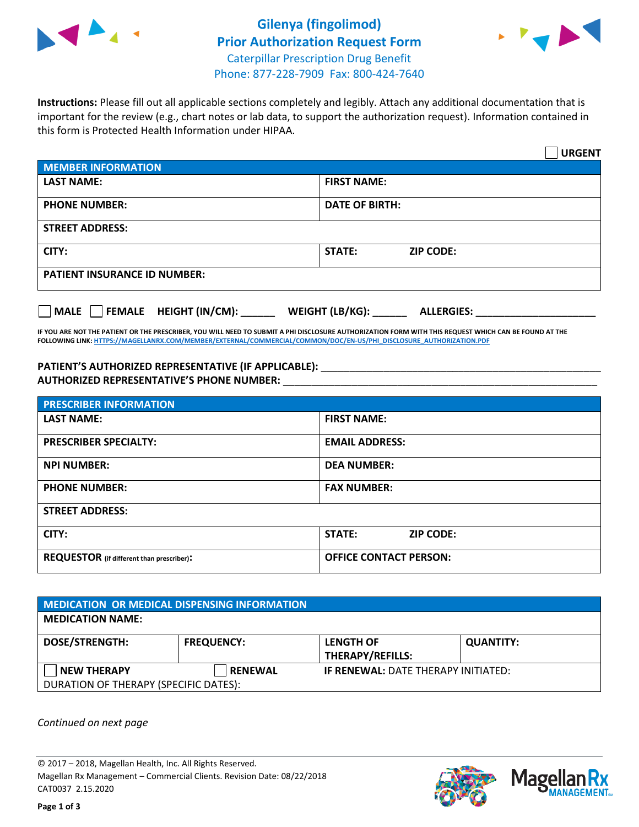



**Instructions:** Please fill out all applicable sections completely and legibly. Attach any additional documentation that is important for the review (e.g., chart notes or lab data, to support the authorization request). Information contained in this form is Protected Health Information under HIPAA.

|                                                | <b>URGENT</b>                        |  |  |  |
|------------------------------------------------|--------------------------------------|--|--|--|
| <b>MEMBER INFORMATION</b>                      |                                      |  |  |  |
| <b>LAST NAME:</b>                              | <b>FIRST NAME:</b>                   |  |  |  |
| <b>PHONE NUMBER:</b>                           | <b>DATE OF BIRTH:</b>                |  |  |  |
| <b>STREET ADDRESS:</b>                         |                                      |  |  |  |
| CITY:                                          | <b>STATE:</b><br><b>ZIP CODE:</b>    |  |  |  |
| <b>PATIENT INSURANCE ID NUMBER:</b>            |                                      |  |  |  |
| $\Box$ FEMALE HEIGHT (IN/CM): _<br><b>MALE</b> | WEIGHT (LB/KG):<br><b>ALLERGIES:</b> |  |  |  |

**IF YOU ARE NOT THE PATIENT OR THE PRESCRIBER, YOU WILL NEED TO SUBMIT A PHI DISCLOSURE AUTHORIZATION FORM WITH THIS REQUEST WHICH CAN BE FOUND AT THE FOLLOWING LINK[: HTTPS://MAGELLANRX.COM/MEMBER/EXTERNAL/COMMERCIAL/COMMON/DOC/EN-US/PHI\\_DISCLOSURE\\_AUTHORIZATION.PDF](https://magellanrx.com/member/external/commercial/common/doc/en-us/PHI_Disclosure_Authorization.pdf)**

PATIENT'S AUTHORIZED REPRESENTATIVE (IF APPLICABLE): \_\_\_\_\_\_\_\_\_\_\_\_\_\_\_\_\_\_\_\_\_\_\_\_\_\_\_ **AUTHORIZED REPRESENTATIVE'S PHONE NUMBER:** \_\_\_\_\_\_\_\_\_\_\_\_\_\_\_\_\_\_\_\_\_\_\_\_\_\_\_\_\_\_\_\_\_\_\_\_\_\_\_\_\_\_\_\_\_\_\_\_\_\_\_\_\_\_\_

| <b>PRESCRIBER INFORMATION</b>             |                               |  |  |  |
|-------------------------------------------|-------------------------------|--|--|--|
| <b>LAST NAME:</b>                         | <b>FIRST NAME:</b>            |  |  |  |
| <b>PRESCRIBER SPECIALTY:</b>              | <b>EMAIL ADDRESS:</b>         |  |  |  |
| <b>NPI NUMBER:</b>                        | <b>DEA NUMBER:</b>            |  |  |  |
| <b>PHONE NUMBER:</b>                      | <b>FAX NUMBER:</b>            |  |  |  |
| <b>STREET ADDRESS:</b>                    |                               |  |  |  |
| CITY:                                     | STATE:<br><b>ZIP CODE:</b>    |  |  |  |
| REQUESTOR (if different than prescriber): | <b>OFFICE CONTACT PERSON:</b> |  |  |  |

| <b>MEDICATION OR MEDICAL DISPENSING INFORMATION</b> |                   |                                            |                  |  |
|-----------------------------------------------------|-------------------|--------------------------------------------|------------------|--|
| <b>MEDICATION NAME:</b>                             |                   |                                            |                  |  |
| <b>DOSE/STRENGTH:</b>                               | <b>FREQUENCY:</b> | <b>LENGTH OF</b>                           | <b>QUANTITY:</b> |  |
|                                                     |                   | <b>THERAPY/REFILLS:</b>                    |                  |  |
| <b>NEW THERAPY</b>                                  | <b>RENEWAL</b>    | <b>IF RENEWAL: DATE THERAPY INITIATED:</b> |                  |  |
| DURATION OF THERAPY (SPECIFIC DATES):               |                   |                                            |                  |  |

*Continued on next page*

© 2017 – 2018, Magellan Health, Inc. All Rights Reserved. Magellan Rx Management – Commercial Clients. Revision Date: 08/22/2018 CAT0037 2.15.2020



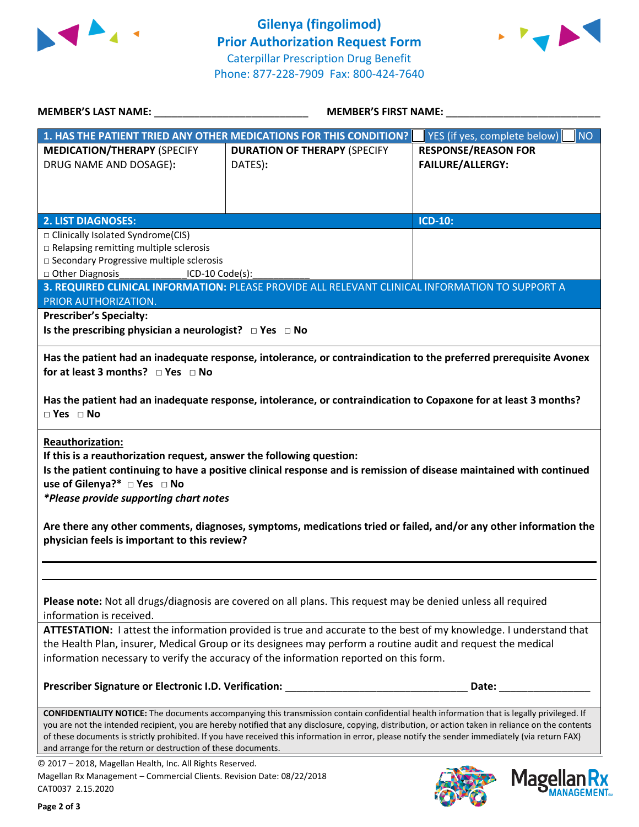



| <b>MEMBER'S LAST NAME:</b> NAME:                                                                                                                                                                                         | MEMBER'S FIRST NAME:                                                                                                                                                                                                                                                                                   |                                                                                                                                                                                                                                          |  |
|--------------------------------------------------------------------------------------------------------------------------------------------------------------------------------------------------------------------------|--------------------------------------------------------------------------------------------------------------------------------------------------------------------------------------------------------------------------------------------------------------------------------------------------------|------------------------------------------------------------------------------------------------------------------------------------------------------------------------------------------------------------------------------------------|--|
|                                                                                                                                                                                                                          | 1. HAS THE PATIENT TRIED ANY OTHER MEDICATIONS FOR THIS CONDITION?                                                                                                                                                                                                                                     | YES (if yes, complete below)<br><b>NO</b>                                                                                                                                                                                                |  |
| <b>MEDICATION/THERAPY (SPECIFY</b><br>DRUG NAME AND DOSAGE):                                                                                                                                                             | <b>DURATION OF THERAPY (SPECIFY</b><br>DATES):                                                                                                                                                                                                                                                         | <b>RESPONSE/REASON FOR</b><br><b>FAILURE/ALLERGY:</b>                                                                                                                                                                                    |  |
| <b>2. LIST DIAGNOSES:</b>                                                                                                                                                                                                |                                                                                                                                                                                                                                                                                                        | <b>ICD-10:</b>                                                                                                                                                                                                                           |  |
| □ Clinically Isolated Syndrome(CIS)<br>□ Relapsing remitting multiple sclerosis<br>□ Secondary Progressive multiple sclerosis<br>□ Other Diagnosis _________________ICD-10 Code(s):                                      |                                                                                                                                                                                                                                                                                                        |                                                                                                                                                                                                                                          |  |
| PRIOR AUTHORIZATION.                                                                                                                                                                                                     | 3. REQUIRED CLINICAL INFORMATION: PLEASE PROVIDE ALL RELEVANT CLINICAL INFORMATION TO SUPPORT A                                                                                                                                                                                                        |                                                                                                                                                                                                                                          |  |
| <b>Prescriber's Specialty:</b><br>Is the prescribing physician a neurologist? $\Box$ Yes $\Box$ No<br>for at least 3 months? $\Box$ Yes $\Box$ No<br>$\square$ Yes $\square$ No                                          | Has the patient had an inadequate response, intolerance, or contraindication to Copaxone for at least 3 months?                                                                                                                                                                                        | Has the patient had an inadequate response, intolerance, or contraindication to the preferred prerequisite Avonex                                                                                                                        |  |
| <b>Reauthorization:</b><br>If this is a reauthorization request, answer the following question:<br>use of Gilenya?* □ Yes □ No<br>*Please provide supporting chart notes<br>physician feels is important to this review? |                                                                                                                                                                                                                                                                                                        | Is the patient continuing to have a positive clinical response and is remission of disease maintained with continued<br>Are there any other comments, diagnoses, symptoms, medications tried or failed, and/or any other information the |  |
| information is received.                                                                                                                                                                                                 | Please note: Not all drugs/diagnosis are covered on all plans. This request may be denied unless all required                                                                                                                                                                                          |                                                                                                                                                                                                                                          |  |
|                                                                                                                                                                                                                          | the Health Plan, insurer, Medical Group or its designees may perform a routine audit and request the medical<br>information necessary to verify the accuracy of the information reported on this form.                                                                                                 | ATTESTATION: I attest the information provided is true and accurate to the best of my knowledge. I understand that                                                                                                                       |  |
| Prescriber Signature or Electronic I.D. Verification:                                                                                                                                                                    |                                                                                                                                                                                                                                                                                                        | Date: the control of the control of the control of the control of the control of the control of the control of the control of the control of the control of the control of the control of the control of the control of the co           |  |
| and arrange for the return or destruction of these documents.                                                                                                                                                            | <b>CONFIDENTIALITY NOTICE:</b> The documents accompanying this transmission contain confidential health information that is legally privileged. If<br>of these documents is strictly prohibited. If you have received this information in error, please notify the sender immediately (via return FAX) | you are not the intended recipient, you are hereby notified that any disclosure, copying, distribution, or action taken in reliance on the contents                                                                                      |  |
| © 2017 - 2018, Magellan Health, Inc. All Rights Reserved.<br>Magellan Rx Management - Commercial Clients. Revision Date: 08/22/2018<br>CAT0037 2.15.2020                                                                 |                                                                                                                                                                                                                                                                                                        | <b>Magel</b>                                                                                                                                                                                                                             |  |